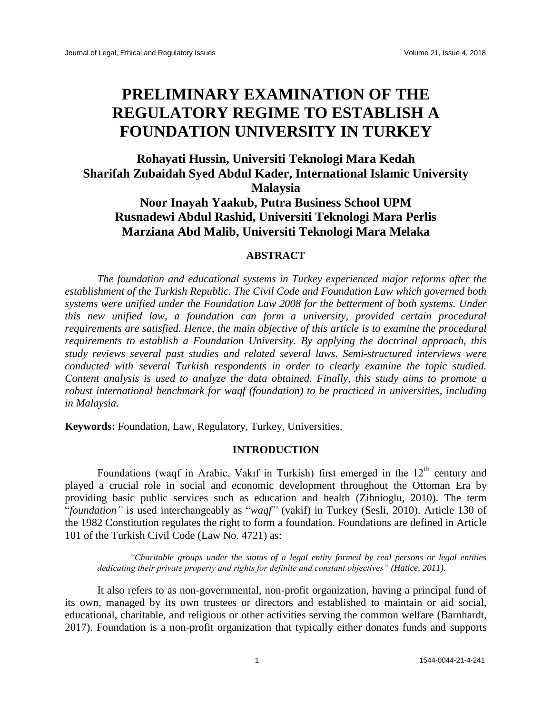# **PRELIMINARY EXAMINATION OF THE REGULATORY REGIME TO ESTABLISH A FOUNDATION UNIVERSITY IN TURKEY**

**Rohayati Hussin, Universiti Teknologi Mara Kedah Sharifah Zubaidah Syed Abdul Kader, International Islamic University Malaysia Noor Inayah Yaakub, Putra Business School UPM Rusnadewi Abdul Rashid, Universiti Teknologi Mara Perlis Marziana Abd Malib, Universiti Teknologi Mara Melaka**

# **ABSTRACT**

*The foundation and educational systems in Turkey experienced major reforms after the establishment of the Turkish Republic. The Civil Code and Foundation Law which governed both systems were unified under the Foundation Law 2008 for the betterment of both systems. Under this new unified law, a foundation can form a university, provided certain procedural requirements are satisfied. Hence, the main objective of this article is to examine the procedural requirements to establish a Foundation University. By applying the doctrinal approach, this study reviews several past studies and related several laws. Semi-structured interviews were conducted with several Turkish respondents in order to clearly examine the topic studied. Content analysis is used to analyze the data obtained. Finally, this study aims to promote a robust international benchmark for waqf (foundation) to be practiced in universities, including in Malaysia.* 

**Keywords:** Foundation, Law, Regulatory, Turkey, Universities.

# **INTRODUCTION**

Foundations (waqf in Arabic, Vakif in Turkish) first emerged in the  $12<sup>th</sup>$  century and played a crucial role in social and economic development throughout the Ottoman Era by providing basic public services such as education and health (Zihnioglu, 2010). The term "*foundation"* is used interchangeably as "*waqf"* (vakif) in Turkey (Sesli, 2010). Article 130 of the 1982 Constitution regulates the right to form a foundation. Foundations are defined in Article 101 of the Turkish Civil Code (Law No. 4721) as:

*"Charitable groups under the status of a legal entity formed by real persons or legal entities dedicating their private property and rights for definite and constant objectives" (Hatice, 2011).* 

It also refers to as non-governmental, non-profit organization, having a principal fund of its own, managed by its own trustees or directors and established to maintain or aid social, educational, charitable, and religious or other activities serving the common welfare (Barnhardt, 2017). Foundation is a non-profit organization that typically either donates funds and supports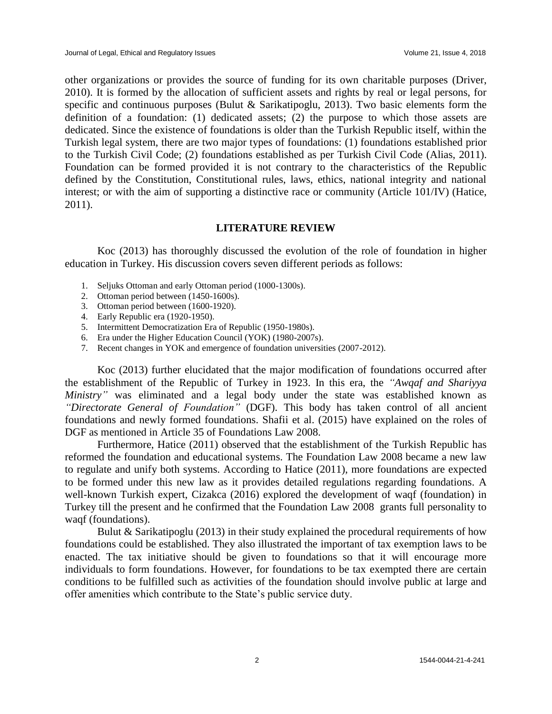other organizations or provides the source of funding for its own charitable purposes (Driver, 2010). It is formed by the allocation of sufficient assets and rights by real or legal persons, for specific and continuous purposes (Bulut & Sarikatipoglu, 2013). Two basic elements form the definition of a foundation: (1) dedicated assets; (2) the purpose to which those assets are dedicated. Since the existence of foundations is older than the Turkish Republic itself, within the Turkish legal system, there are two major types of foundations: (1) foundations established prior to the Turkish Civil Code; (2) foundations established as per Turkish Civil Code (Alias, 2011). Foundation can be formed provided it is not contrary to the characteristics of the Republic defined by the Constitution, Constitutional rules, laws, ethics, national integrity and national interest; or with the aim of supporting a distinctive race or community (Article 101/IV) (Hatice, 2011).

# **LITERATURE REVIEW**

Koc (2013) has thoroughly discussed the evolution of the role of foundation in higher education in Turkey. His discussion covers seven different periods as follows:

- 1. Seljuks Ottoman and early Ottoman period (1000-1300s).
- 2. Ottoman period between (1450-1600s).
- 3. Ottoman period between (1600-1920).
- 4. Early Republic era (1920-1950).
- 5. Intermittent Democratization Era of Republic (1950-1980s).
- 6. Era under the Higher Education Council (YOK) (1980-2007s).
- 7. Recent changes in YOK and emergence of foundation universities (2007-2012).

Koc (2013) further elucidated that the major modification of foundations occurred after the establishment of the Republic of Turkey in 1923. In this era, the *"Awqaf and Shariyya Ministry"* was eliminated and a legal body under the state was established known as *"Directorate General of Foundation"* (DGF). This body has taken control of all ancient foundations and newly formed foundations. Shafii et al. (2015) have explained on the roles of DGF as mentioned in Article 35 of Foundations Law 2008.

Furthermore, Hatice (2011) observed that the establishment of the Turkish Republic has reformed the foundation and educational systems. The Foundation Law 2008 became a new law to regulate and unify both systems. According to Hatice (2011), more foundations are expected to be formed under this new law as it provides detailed regulations regarding foundations. A well-known Turkish expert, Cizakca (2016) explored the development of waqf (foundation) in Turkey till the present and he confirmed that the Foundation Law 2008 grants full personality to waqf (foundations).

Bulut & Sarikatipoglu (2013) in their study explained the procedural requirements of how foundations could be established. They also illustrated the important of tax exemption laws to be enacted. The tax initiative should be given to foundations so that it will encourage more individuals to form foundations. However, for foundations to be tax exempted there are certain conditions to be fulfilled such as activities of the foundation should involve public at large and offer amenities which contribute to the State's public service duty.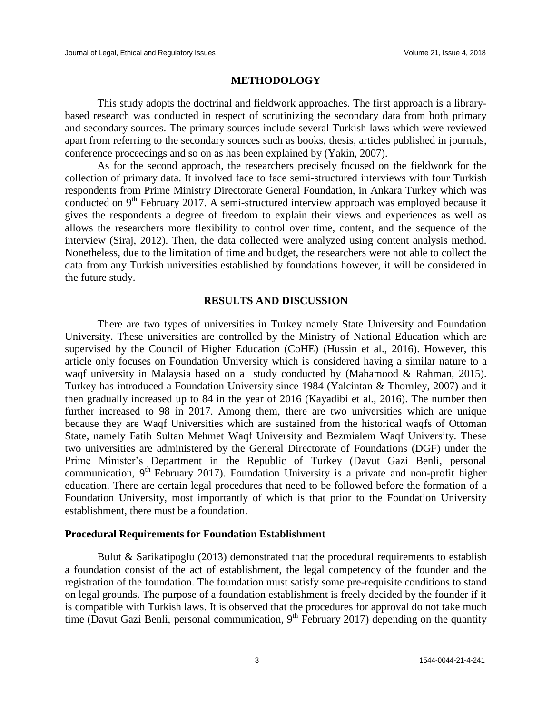# **METHODOLOGY**

This study adopts the doctrinal and fieldwork approaches. The first approach is a librarybased research was conducted in respect of scrutinizing the secondary data from both primary and secondary sources. The primary sources include several Turkish laws which were reviewed apart from referring to the secondary sources such as books, thesis, articles published in journals, conference proceedings and so on as has been explained by (Yakin, 2007).

As for the second approach, the researchers precisely focused on the fieldwork for the collection of primary data. It involved face to face semi-structured interviews with four Turkish respondents from Prime Ministry Directorate General Foundation, in Ankara Turkey which was conducted on  $9<sup>th</sup>$  February 2017. A semi-structured interview approach was employed because it gives the respondents a degree of freedom to explain their views and experiences as well as allows the researchers more flexibility to control over time, content, and the sequence of the interview (Siraj, 2012). Then, the data collected were analyzed using content analysis method. Nonetheless, due to the limitation of time and budget, the researchers were not able to collect the data from any Turkish universities established by foundations however, it will be considered in the future study.

## **RESULTS AND DISCUSSION**

There are two types of universities in Turkey namely State University and Foundation University. These universities are controlled by the Ministry of National Education which are supervised by the Council of Higher Education (CoHE) (Hussin et al., 2016). However, this article only focuses on Foundation University which is considered having a similar nature to a waqf university in Malaysia based on a study conducted by (Mahamood & Rahman, 2015). Turkey has introduced a Foundation University since 1984 (Yalcintan & Thornley, 2007) and it then gradually increased up to 84 in the year of 2016 (Kayadibi et al., 2016). The number then further increased to 98 in 2017. Among them, there are two universities which are unique because they are Waqf Universities which are sustained from the historical waqfs of Ottoman State, namely Fatih Sultan Mehmet Waqf University and Bezmialem Waqf University. These two universities are administered by the General Directorate of Foundations (DGF) under the Prime Minister's Department in the Republic of Turkey (Davut Gazi Benli, personal communication,  $9<sup>th</sup>$  February 2017). Foundation University is a private and non-profit higher education. There are certain legal procedures that need to be followed before the formation of a Foundation University, most importantly of which is that prior to the Foundation University establishment, there must be a foundation.

### **Procedural Requirements for Foundation Establishment**

Bulut & Sarikatipoglu (2013) demonstrated that the procedural requirements to establish a foundation consist of the act of establishment, the legal competency of the founder and the registration of the foundation. The foundation must satisfy some pre-requisite conditions to stand on legal grounds. The purpose of a foundation establishment is freely decided by the founder if it is compatible with Turkish laws. It is observed that the procedures for approval do not take much time (Davut Gazi Benli, personal communication,  $9<sup>th</sup>$  February 2017) depending on the quantity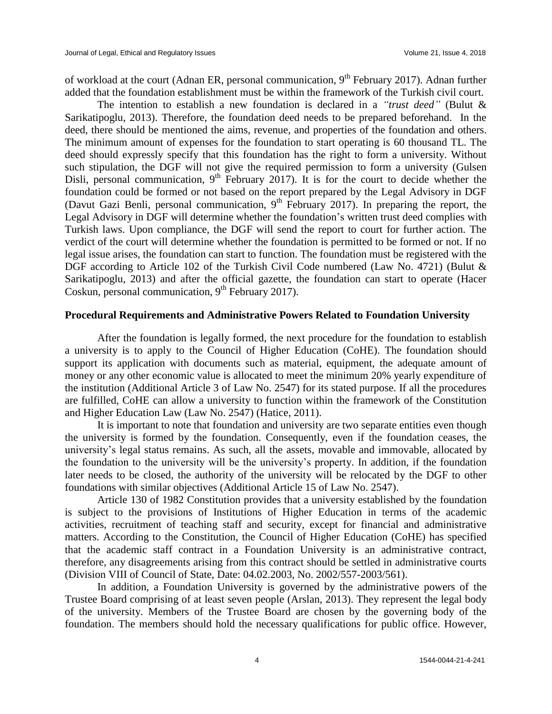of workload at the court (Adnan ER, personal communication, 9<sup>th</sup> February 2017). Adnan further added that the foundation establishment must be within the framework of the Turkish civil court.

The intention to establish a new foundation is declared in a *"trust deed"* (Bulut & Sarikatipoglu, 2013). Therefore, the foundation deed needs to be prepared beforehand. In the deed, there should be mentioned the aims, revenue, and properties of the foundation and others. The minimum amount of expenses for the foundation to start operating is 60 thousand TL. The deed should expressly specify that this foundation has the right to form a university. Without such stipulation, the DGF will not give the required permission to form a university (Gulsen Disli, personal communication,  $9<sup>th</sup>$  February 2017). It is for the court to decide whether the foundation could be formed or not based on the report prepared by the Legal Advisory in DGF (Davut Gazi Benli, personal communication,  $9<sup>th</sup>$  February 2017). In preparing the report, the Legal Advisory in DGF will determine whether the foundation's written trust deed complies with Turkish laws. Upon compliance, the DGF will send the report to court for further action. The verdict of the court will determine whether the foundation is permitted to be formed or not. If no legal issue arises, the foundation can start to function. The foundation must be registered with the DGF according to Article 102 of the Turkish Civil Code numbered (Law No. 4721) (Bulut & Sarikatipoglu, 2013) and after the official gazette, the foundation can start to operate (Hacer Coskun, personal communication,  $9<sup>th</sup>$  February 2017).

# **Procedural Requirements and Administrative Powers Related to Foundation University**

After the foundation is legally formed, the next procedure for the foundation to establish a university is to apply to the Council of Higher Education (CoHE). The foundation should support its application with documents such as material, equipment, the adequate amount of money or any other economic value is allocated to meet the minimum 20% yearly expenditure of the institution (Additional Article 3 of Law No. 2547) for its stated purpose. If all the procedures are fulfilled, CoHE can allow a university to function within the framework of the Constitution and Higher Education Law (Law No. 2547) (Hatice, 2011).

It is important to note that foundation and university are two separate entities even though the university is formed by the foundation. Consequently, even if the foundation ceases, the university's legal status remains. As such, all the assets, movable and immovable, allocated by the foundation to the university will be the university's property. In addition, if the foundation later needs to be closed, the authority of the university will be relocated by the DGF to other foundations with similar objectives (Additional Article 15 of Law No. 2547).

Article 130 of 1982 Constitution provides that a university established by the foundation is subject to the provisions of Institutions of Higher Education in terms of the academic activities, recruitment of teaching staff and security, except for financial and administrative matters. According to the Constitution, the Council of Higher Education (CoHE) has specified that the academic staff contract in a Foundation University is an administrative contract, therefore, any disagreements arising from this contract should be settled in administrative courts (Division VIII of Council of State, Date: 04.02.2003, No. 2002/557-2003/561).

In addition, a Foundation University is governed by the administrative powers of the Trustee Board comprising of at least seven people (Arslan, 2013). They represent the legal body of the university. Members of the Trustee Board are chosen by the governing body of the foundation. The members should hold the necessary qualifications for public office. However,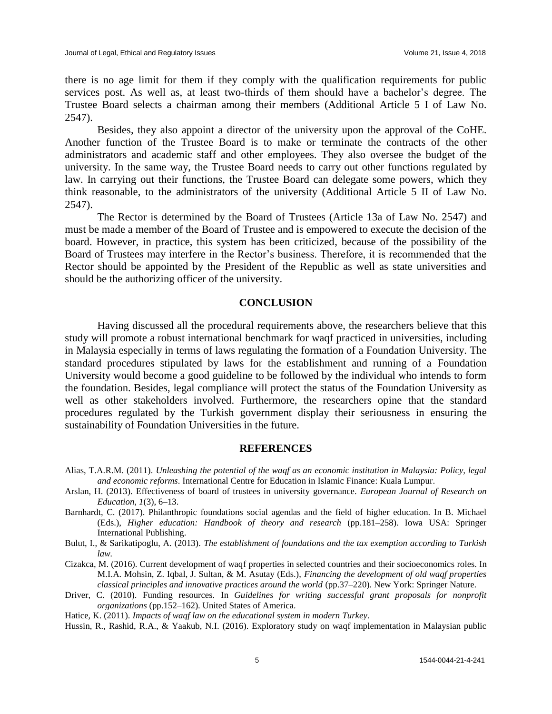there is no age limit for them if they comply with the qualification requirements for public services post. As well as, at least two-thirds of them should have a bachelor's degree. The Trustee Board selects a chairman among their members (Additional Article 5 I of Law No. 2547).

Besides, they also appoint a director of the university upon the approval of the CoHE. Another function of the Trustee Board is to make or terminate the contracts of the other administrators and academic staff and other employees. They also oversee the budget of the university. In the same way, the Trustee Board needs to carry out other functions regulated by law. In carrying out their functions, the Trustee Board can delegate some powers, which they think reasonable, to the administrators of the university (Additional Article 5 II of Law No. 2547).

The Rector is determined by the Board of Trustees (Article 13a of Law No. 2547) and must be made a member of the Board of Trustee and is empowered to execute the decision of the board. However, in practice, this system has been criticized, because of the possibility of the Board of Trustees may interfere in the Rector's business. Therefore, it is recommended that the Rector should be appointed by the President of the Republic as well as state universities and should be the authorizing officer of the university.

# **CONCLUSION**

Having discussed all the procedural requirements above, the researchers believe that this study will promote a robust international benchmark for waqf practiced in universities, including in Malaysia especially in terms of laws regulating the formation of a Foundation University. The standard procedures stipulated by laws for the establishment and running of a Foundation University would become a good guideline to be followed by the individual who intends to form the foundation. Besides, legal compliance will protect the status of the Foundation University as well as other stakeholders involved. Furthermore, the researchers opine that the standard procedures regulated by the Turkish government display their seriousness in ensuring the sustainability of Foundation Universities in the future.

#### **REFERENCES**

- Alias, T.A.R.M. (2011). *Unleashing the potential of the waqf as an economic institution in Malaysia: Policy, legal and economic reforms*. International Centre for Education in Islamic Finance: Kuala Lumpur.
- Arslan, H. (2013). Effectiveness of board of trustees in university governance. *European Journal of Research on Education*, *1*(3), 6–13.
- Barnhardt, C. (2017). Philanthropic foundations social agendas and the field of higher education. In B. Michael (Eds.), *Higher education: Handbook of theory and research* (pp.181–258). Iowa USA: Springer International Publishing.
- Bulut, I., & Sarikatipoglu, A. (2013). *The establishment of foundations and the tax exemption according to Turkish law.*
- Cizakca, M. (2016). Current development of waqf properties in selected countries and their socioeconomics roles. In M.I.A. Mohsin, Z. Iqbal, J. Sultan, & M. Asutay (Eds.), *Financing the development of old waqf properties classical principles and innovative practices around the world* (pp.37–220). New York: Springer Nature.
- Driver, C. (2010). Funding resources. In *Guidelines for writing successful grant proposals for nonprofit organizations* (pp.152–162). United States of America.

Hatice, K. (2011). *Impacts of waqf law on the educational system in modern Turkey*.

Hussin, R., Rashid, R.A., & Yaakub, N.I. (2016). Exploratory study on waqf implementation in Malaysian public